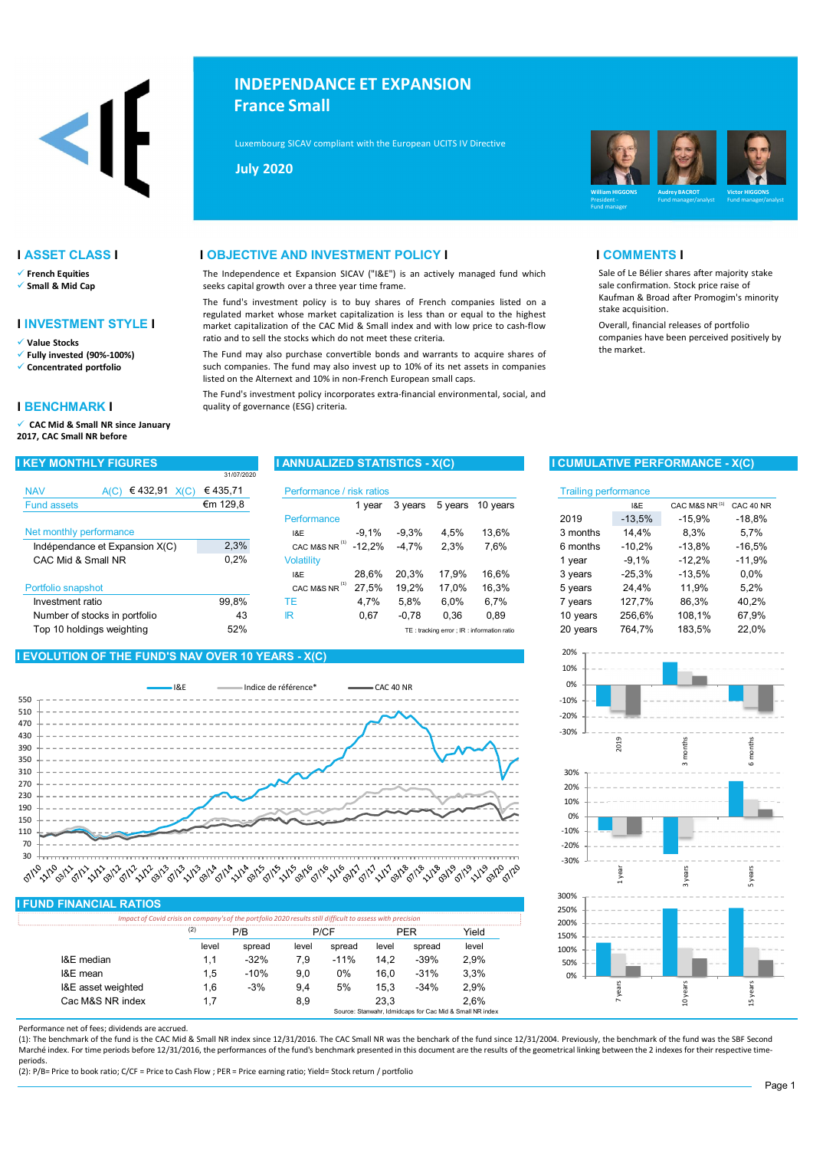

- $\checkmark$  French Equities
- Small & Mid Cap

## I INVESTMENT STYLE I

Value Stocks

- Fully invested (90%-100%)
- Concentrated portfolio

### I BENCHMARK I

 CAC Mid & Small NR since January 2017, CAC Small NR before

|                                | 31/07/2020 |                           |          |         |         |                                            |                             |          |                           |           |
|--------------------------------|------------|---------------------------|----------|---------|---------|--------------------------------------------|-----------------------------|----------|---------------------------|-----------|
| € 432,91<br><b>NAV</b><br>A(C) | €435.71    | Performance / risk ratios |          |         |         |                                            | <b>Trailing performance</b> |          |                           |           |
| <b>Fund assets</b>             | €m 129,8   |                           | 1 vear   | 3 years | 5 years | 10 years                                   |                             | 1&E      | CAC M&S NR <sup>(1)</sup> | CAC 40 NF |
|                                |            | Performance               |          |         |         |                                            | 2019                        | $-13.5%$ | $-15.9%$                  | $-18,8%$  |
| Net monthly performance        |            | 18E                       | $-9.1%$  | $-9.3%$ | 4.5%    | 13.6%                                      | 3 months                    | 14.4%    | 8.3%                      | 5.7%      |
| Indépendance et Expansion X(C) | 2,3%       | (1)<br>CAC M&S NR         | $-12.2%$ | $-4.7%$ | 2.3%    | 7.6%                                       | 6 months                    | $-10.2%$ | $-13.8%$                  | $-16,5%$  |
| CAC Mid & Small NR             | 0,2%       | Volatility                |          |         |         |                                            | 1 vear                      | $-9.1%$  | $-12,2%$                  | $-11,9%$  |
|                                |            | 18E                       | 28.6%    | 20.3%   | 17.9%   | 16.6%                                      | 3 years                     | $-25,3%$ | $-13.5%$                  | $0.0\%$   |
| Portfolio snapshot             |            | CAC M&S NR                | 27.5%    | 19.2%   | 17.0%   | 16.3%                                      | 5 years                     | 24.4%    | 11.9%                     | 5,2%      |
| Investment ratio               | 99.8%      | ТE                        | 4.7%     | 5.8%    | 6.0%    | 6.7%                                       | 7 vears                     | 127.7%   | 86.3%                     | 40.2%     |
| Number of stocks in portfolio  | 43         | IR                        | 0,67     | $-0.78$ | 0.36    | 0.89                                       | 10 years                    | 256.6%   | 108.1%                    | 67.9%     |
| Top 10 holdings weighting      | 52%        |                           |          |         |         | TE: tracking error ; IR: information ratio | 20 years                    | 764.7%   | 183.5%                    | 22.0%     |

## I EVOLUTION OF THE FUND'S NAV OVER 10 YEARS - X(C)



### I FUND FINANCIAL RATIOS

|                    | (2)   |        | P/CF  |        |       |        | Yield |
|--------------------|-------|--------|-------|--------|-------|--------|-------|
|                    | level | spread | level | spread | level | spread | level |
| I&E median         |       | $-32%$ | 7.9   | $-11%$ | 14.2  | $-39%$ | 2.9%  |
| I&E mean           | 1.5   | $-10%$ | 9.0   | 0%     | 16.0  | $-31%$ | 3.3%  |
| I&E asset weighted | 1.6   | $-3%$  | 9.4   | 5%     | 15.3  | $-34%$ | 2.9%  |
| Cac M&S NR index   |       |        | 8.9   |        | 23.3  |        | 2.6%  |

### Performance net of fees; dividends are accrued.

(1): The benchmark of the fund is the CAC Mid & Small NR index since 12/31/2016. The CAC Small NR was the benchark of the fund since 12/31/2004. Previously, the benchmark of the fund was the SBF Second Marché index. For time periods before 12/31/2016, the performances of the fund's benchmark presented in this document are the results of the geometrical linking between the 2 indexes for their respective timeperiods.

(2): P/B= Price to book ratio; C/CF = Price to Cash Flow ; PER = Price earning ratio; Yield= Stock return / portfolio

# INDEPENDANCE ET EXPANSION France Small

 $\mu$ xembourg SICAV compliant with the European UCITS IV Directive (2009) (2009)  $\mu$ Luxembourg SICAV compliant with the European UCITS IV Directive

July 2020



Sale of Le Bélier shares after majority stake sale confirmation. Stock price raise of Kaufman & Broad after Promogim's minority

Overall, financial releases of portfolio companies have been perceived positively by

### **I ASSET CLASS I I ALL ASSET CLASS I I COMMENTS I**

The Independence et Expansion SICAV ("I&E") is an actively managed fund which seeks capital growth over a three year time frame.

The fund's investment policy is to buy shares of French companies listed on a regulated market whose market capitalization is less than or equal to the highest market capitalization of the CAC Mid & Small index and with low price to cash-flow ratio and to sell the stocks which do not meet these criteria.

The Fund may also purchase convertible bonds and warrants to acquire shares of such companies. The fund may also invest up to 10% of its net assets in companies listed on the Alternext and 10% in non-French European small caps.

The Fund's investment policy incorporates extra-financial environmental, social, and quality of governance (ESG) criteria.

## I KEY MONTHLY FIGURES I ANNUALIZED STATISTICS - X(C) I CUMULATIVE PERFORMANCE - X(C)

stake acquisition.

the market.

| sk ratios |          |         |                                            | <b>Trailing performance</b> |          |                           |           |
|-----------|----------|---------|--------------------------------------------|-----------------------------|----------|---------------------------|-----------|
| 1 year    | 3 years  | 5 years | 10 years                                   |                             | 1&E      | CAC M&S NR <sup>(1)</sup> | CAC 40 NR |
|           |          |         |                                            | 2019                        | $-13,5%$ | $-15.9%$                  | $-18.8%$  |
| $-9,1%$   | $-9.3%$  | 4.5%    | 13,6%                                      | 3 months                    | 14.4%    | 8.3%                      | 5,7%      |
| -12,2%    | $-4.7\%$ | 2,3%    | 7,6%                                       | 6 months                    | $-10.2%$ | $-13.8%$                  | $-16.5%$  |
|           |          |         |                                            | 1 year                      | $-9.1%$  | $-12,2%$                  | $-11,9%$  |
| 28,6%     | 20.3%    | 17.9%   | 16,6%                                      | 3 years                     | $-25,3%$ | $-13,5%$                  | 0.0%      |
| 27,5%     | 19,2%    | 17,0%   | 16,3%                                      | 5 years                     | 24.4%    | 11.9%                     | 5,2%      |
| 4,7%      | 5.8%     | 6.0%    | 6,7%                                       | 7 years                     | 127,7%   | 86.3%                     | 40,2%     |
| 0,67      | $-0.78$  | 0.36    | 0.89                                       | 10 years                    | 256.6%   | 108,1%                    | 67,9%     |
|           |          |         | TE: tracking error ; IR: information ratio | 20 years                    | 764.7%   | 183,5%                    | 22.0%     |